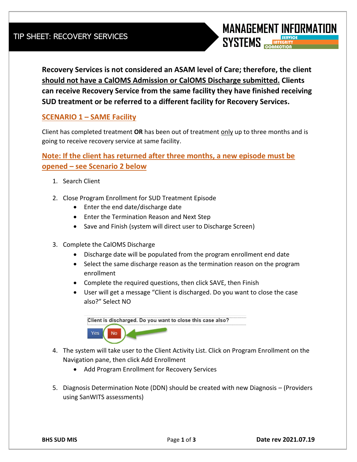**Recovery Services is not considered an ASAM level of Care; therefore, the client should not have a CalOMS Admission or CalOMS Discharge submitted. Clients can receive Recovery Service from the same facility they have finished receiving SUD treatment or be referred to a different facility for Recovery Services.** 

## **SCENARIO 1 – SAME Facility**

Client has completed treatment **OR** has been out of treatment only up to three months and is going to receive recovery service at same facility.

## **Note: If the client has returned after three months, a new episode must be opened – see Scenario 2 below**

- 1. Search Client
- 2. Close Program Enrollment for SUD Treatment Episode
	- Enter the end date/discharge date
	- Enter the Termination Reason and Next Step
	- Save and Finish (system will direct user to Discharge Screen)
- 3. Complete the CalOMS Discharge
	- Discharge date will be populated from the program enrollment end date
	- Select the same discharge reason as the termination reason on the program enrollment
	- Complete the required questions, then click SAVE, then Finish
	- User will get a message "Client is discharged. Do you want to close the case also?" Select NO

Client is discharged. Do you want to close this case also? Yes **No** 

- 4. The system will take user to the Client Activity List. Click on Program Enrollment on the Navigation pane, then click Add Enrollment
	- Add Program Enrollment for Recovery Services
- 5. Diagnosis Determination Note (DDN) should be created with new Diagnosis (Providers using SanWITS assessments)

**MANAGEMENT INFORMATION** 

**SYSTEMS**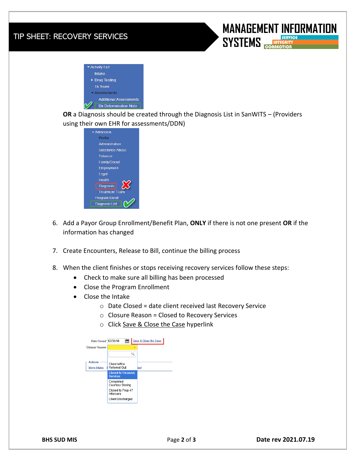## TIP SHEET: RECOVERY SERVICES





**OR** a Diagnosis should be created through the Diagnosis List in SanWITS – (Providers using their own EHR for assessments/DDN)



- 6. Add a Payor Group Enrollment/Benefit Plan, **ONLY** if there is not one present **OR** if the information has changed
- 7. Create Encounters, Release to Bill, continue the billing process
- 8. When the client finishes or stops receiving recovery services follow these steps:
	- Check to make sure all billing has been processed
	- Close the Program Enrollment
	- Close the Intake
		- o Date Closed = date client received last Recovery Service
		- $\circ$  Closure Reason = Closed to Recovery Services
		- o Click Save & Close the Case hyperlink

| Date Closed 12/30/18                 | М                                            |   | Save & Close the Case |  |
|--------------------------------------|----------------------------------------------|---|-----------------------|--|
| <b>Closure Reason</b>                |                                              | × |                       |  |
|                                      |                                              | n |                       |  |
| <b>Actions</b><br><b>Move Intake</b> | Client left/or<br>Referred Out               |   | tact                  |  |
|                                      | <b>Closed to Recovery</b><br><b>Services</b> |   |                       |  |
|                                      | Completed<br>Courtesy Dosing                 |   |                       |  |
|                                      | Closed to Prop 47<br>Aftercare               |   |                       |  |
|                                      | <b>Client Discharged</b>                     |   |                       |  |